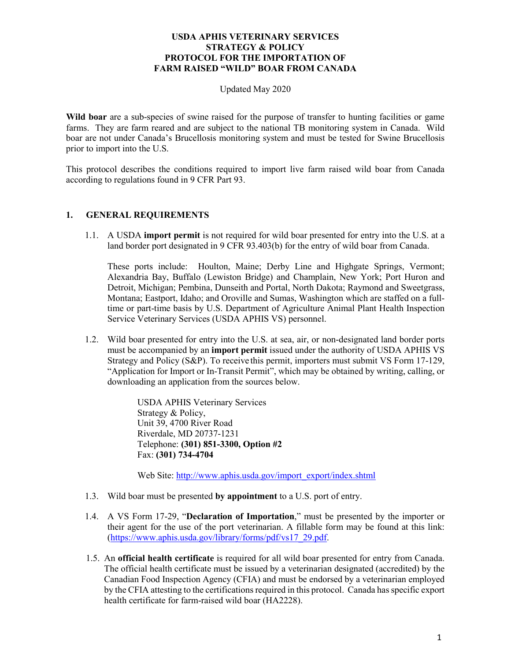#### Updated May 2020

**Wild boar** are a sub-species of swine raised for the purpose of transfer to hunting facilities or game farms. They are farm reared and are subject to the national TB monitoring system in Canada. Wild boar are not under Canada's Brucellosis monitoring system and must be tested for Swine Brucellosis prior to import into the U.S.

This protocol describes the conditions required to import live farm raised wild boar from Canada according to regulations found in 9 CFR Part 93.

# **1. GENERAL REQUIREMENTS**

1.1. A USDA **import permit** is not required for wild boar presented for entry into the U.S. at a land border port designated in 9 CFR 93.403(b) for the entry of wild boar from Canada.

These ports include: Houlton, Maine; Derby Line and Highgate Springs, Vermont; Alexandria Bay, Buffalo (Lewiston Bridge) and Champlain, New York; Port Huron and Detroit, Michigan; Pembina, Dunseith and Portal, North Dakota; Raymond and Sweetgrass, Montana; Eastport, Idaho; and Oroville and Sumas, Washington which are staffed on a fulltime or part-time basis by U.S. Department of Agriculture Animal Plant Health Inspection Service Veterinary Services (USDA APHIS VS) personnel.

1.2. Wild boar presented for entry into the U.S. at sea, air, or non-designated land border ports must be accompanied by an **import permit** issued under the authority of USDA APHIS VS Strategy and Policy (S&P). To receive this permit, importers must submit VS Form 17-129, "Application for Import or In-Transit Permit", which may be obtained by writing, calling, or downloading an application from the sources below.

> USDA APHIS Veterinary Services Strategy & Policy, Unit 39, 4700 River Road Riverdale, MD 20737-1231 Telephone: **(301) 851-3300, Option #2** Fax: **(301) 734-4704**

Web Site: [http://www.aphis.usda.gov/import\\_export/index.shtml](http://www.aphis.usda.gov/import_export/index.shtml)

- 1.3. Wild boar must be presented **by appointment** to a U.S. port of entry.
- 1.4. A VS Form 17-29, "**Declaration of Importation**," must be presented by the importer or their agent for the use of the port veterinarian. A fillable form may be found at this link: [\(https://www.aphis.usda.gov/library/forms/pdf/vs17\\_29.pdf.](https://www.aphis.usda.gov/library/forms/pdf/vs17_29.pdf)
- 1.5. An **official health certificate** is required for all wild boar presented for entry from Canada. The official health certificate must be issued by a veterinarian designated (accredited) by the Canadian Food Inspection Agency (CFIA) and must be endorsed by a veterinarian employed by the CFIA attesting to the certifications required in this protocol. Canada has specific export health certificate for farm-raised wild boar (HA2228).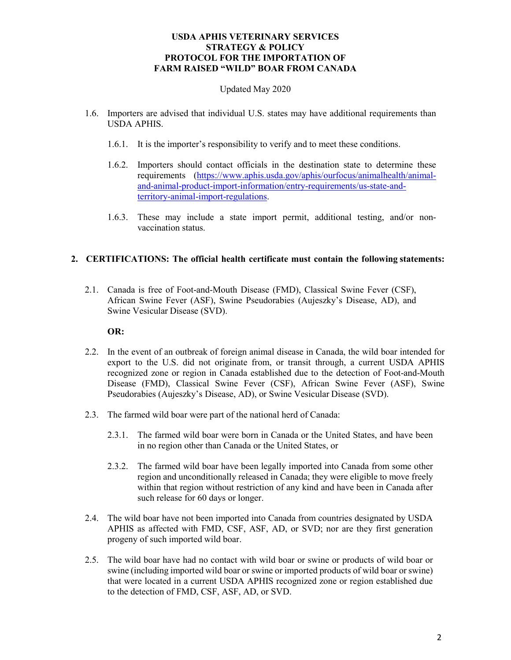# Updated May 2020

- 1.6. Importers are advised that individual U.S. states may have additional requirements than USDA APHIS.
	- 1.6.1. It is the importer's responsibility to verify and to meet these conditions.
	- 1.6.2. Importers should contact officials in the destination state to determine these requirements [\(https://www.aphis.usda.gov/aphis/ourfocus/animalhealth/animal](https://www.aphis.usda.gov/aphis/ourfocus/animalhealth/animal-and-animal-product-import-information/entry-requirements/us-state-and-territory-animal-import-regulations)[and-animal-product-import-information/entry-requirements/us-state-and](https://www.aphis.usda.gov/aphis/ourfocus/animalhealth/animal-and-animal-product-import-information/entry-requirements/us-state-and-territory-animal-import-regulations)[territory-animal-import-regulations.](https://www.aphis.usda.gov/aphis/ourfocus/animalhealth/animal-and-animal-product-import-information/entry-requirements/us-state-and-territory-animal-import-regulations)
	- 1.6.3. These may include a state import permit, additional testing, and/or nonvaccination status.

# **2. CERTIFICATIONS: The official health certificate must contain the following statements:**

2.1. Canada is free of Foot-and-Mouth Disease (FMD), Classical Swine Fever (CSF), African Swine Fever (ASF), Swine Pseudorabies (Aujeszky's Disease, AD), and Swine Vesicular Disease (SVD).

#### **OR:**

- 2.2. In the event of an outbreak of foreign animal disease in Canada, the wild boar intended for export to the U.S. did not originate from, or transit through, a current USDA APHIS recognized zone or region in Canada established due to the detection of Foot-and-Mouth Disease (FMD), Classical Swine Fever (CSF), African Swine Fever (ASF), Swine Pseudorabies (Aujeszky's Disease, AD), or Swine Vesicular Disease (SVD).
- 2.3. The farmed wild boar were part of the national herd of Canada:
	- 2.3.1. The farmed wild boar were born in Canada or the [United States,](https://www.law.cornell.edu/definitions/index.php?width=840&height=800&iframe=true&def_id=713b0e7ba87f1a6674e58b99a445b8c9&term_occur=999&term_src=Title:9:Chapter:I:Subchapter:D:Part:93:Subpart:E:Subjgrp:65:93.516) and have been in no [region](https://www.law.cornell.edu/definitions/index.php?width=840&height=800&iframe=true&def_id=7817c204566b1056d4656994e9d4737d&term_occur=999&term_src=Title:9:Chapter:I:Subchapter:D:Part:93:Subpart:E:Subjgrp:65:93.516) other than Canada or the [United States,](https://www.law.cornell.edu/definitions/index.php?width=840&height=800&iframe=true&def_id=713b0e7ba87f1a6674e58b99a445b8c9&term_occur=999&term_src=Title:9:Chapter:I:Subchapter:D:Part:93:Subpart:E:Subjgrp:65:93.516) or
	- 2.3.2. The farmed wild boar have been legally imported into Canada from some other [region](https://www.law.cornell.edu/definitions/index.php?width=840&height=800&iframe=true&def_id=7817c204566b1056d4656994e9d4737d&term_occur=999&term_src=Title:9:Chapter:I:Subchapter:D:Part:93:Subpart:E:Subjgrp:65:93.516) and unconditionally released in Canada; they were eligible to move freely within that [region](https://www.law.cornell.edu/definitions/index.php?width=840&height=800&iframe=true&def_id=7817c204566b1056d4656994e9d4737d&term_occur=999&term_src=Title:9:Chapter:I:Subchapter:D:Part:93:Subpart:E:Subjgrp:65:93.516) without restriction of any kind and have been in Canada after such release for 60 days or longer.
- 2.4. The wild boar have not been imported into Canada from countries designated by USDA APHIS as affected with FMD, CSF, ASF, AD, or SVD; nor are they first generation progeny of such imported wild boar.
- 2.5. The wild boar have had no contact with wild boar or swine or products of wild boar or swine (including imported wild boar or swine or imported products of wild boar or swine) that were located in a current USDA APHIS recognized zone or region established due to the detection of FMD, CSF, ASF, AD, or SVD.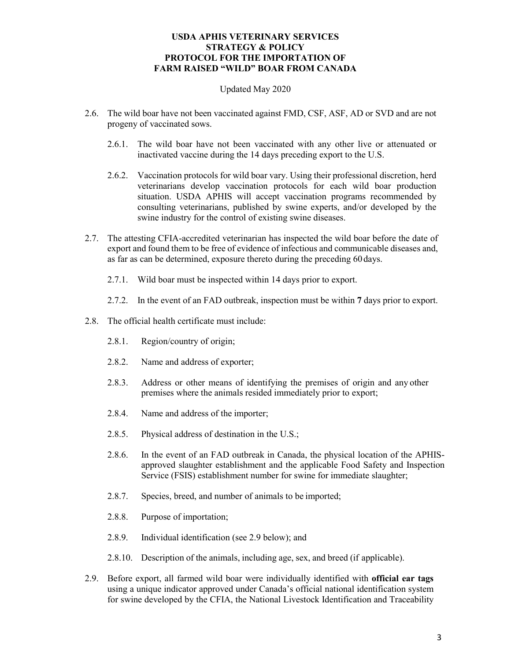# Updated May 2020

- 2.6. The wild boar have not been vaccinated against FMD, CSF, ASF, AD or SVD and are not progeny of vaccinated sows.
	- 2.6.1. The wild boar have not been vaccinated with any other live or attenuated or inactivated vaccine during the 14 days preceding export to the U.S.
	- 2.6.2. Vaccination protocols for wild boar vary. Using their professional discretion, herd veterinarians develop vaccination protocols for each wild boar production situation. USDA APHIS will accept vaccination programs recommended by consulting veterinarians, published by swine experts, and/or developed by the swine industry for the control of existing swine diseases.
- 2.7. The attesting CFIA-accredited veterinarian has inspected the wild boar before the date of export and found them to be free of evidence of infectious and communicable diseases and, as far as can be determined, exposure thereto during the preceding 60 days.
	- 2.7.1. Wild boar must be inspected within 14 days prior to export.
	- 2.7.2. In the event of an FAD outbreak, inspection must be within **7** days prior to export.
- 2.8. The official health certificate must include:
	- 2.8.1. Region/country of origin;
	- 2.8.2. Name and address of exporter;
	- 2.8.3. Address or other means of identifying the premises of origin and any other premises where the animals resided immediately prior to export;
	- 2.8.4. Name and address of the importer;
	- 2.8.5. Physical address of destination in the U.S.;
	- 2.8.6. In the event of an FAD outbreak in Canada, the physical location of the APHISapproved slaughter establishment and the applicable Food Safety and Inspection Service (FSIS) establishment number for swine for immediate slaughter;
	- 2.8.7. Species, breed, and number of animals to be imported;
	- 2.8.8. Purpose of importation;
	- 2.8.9. Individual identification (see 2.9 below); and
	- 2.8.10. Description of the animals, including age, sex, and breed (if applicable).
- 2.9. Before export, all farmed wild boar were individually identified with **official ear tags** using a unique indicator approved under Canada's official national identification system for swine developed by the CFIA, the National Livestock Identification and Traceability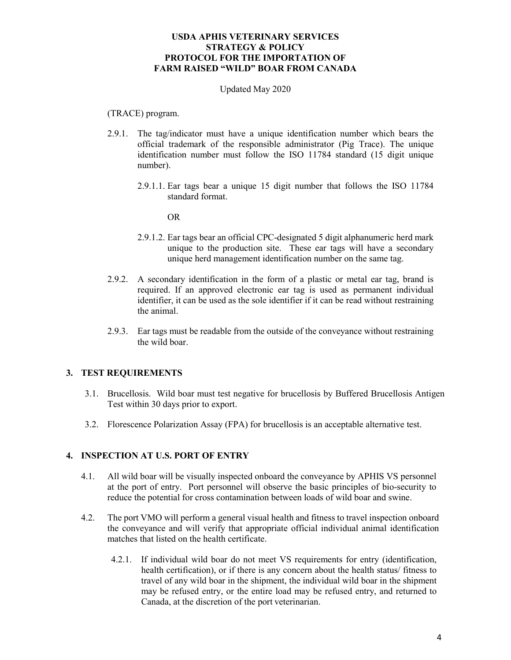#### Updated May 2020

#### (TRACE) program.

- 2.9.1. The tag/indicator must have a unique identification number which bears the official trademark of the responsible administrator (Pig Trace). The unique identification number must follow the ISO 11784 standard (15 digit unique number).
	- 2.9.1.1. Ear tags bear a unique 15 digit number that follows the ISO 11784 standard format.

OR

- 2.9.1.2. Ear tags bear an official CPC-designated 5 digit alphanumeric herd mark unique to the production site. These ear tags will have a secondary unique herd management identification number on the same tag.
- 2.9.2. A secondary identification in the form of a plastic or metal ear tag, brand is required. If an approved electronic ear tag is used as permanent individual identifier, it can be used as the sole identifier if it can be read without restraining the animal.
- 2.9.3. Ear tags must be readable from the outside of the conveyance without restraining the wild boar.

#### **3. TEST REQUIREMENTS**

- 3.1. Brucellosis. Wild boar must test negative for brucellosis by Buffered Brucellosis Antigen Test within 30 days prior to export.
- 3.2. Florescence Polarization Assay (FPA) for brucellosis is an acceptable alternative test.

#### **4. INSPECTION AT U.S. PORT OF ENTRY**

- 4.1. All wild boar will be visually inspected onboard the conveyance by APHIS VS personnel at the port of entry. Port personnel will observe the basic principles of bio-security to reduce the potential for cross contamination between loads of wild boar and swine.
- 4.2. The port VMO will perform a general visual health and fitness to travel inspection onboard the conveyance and will verify that appropriate official individual animal identification matches that listed on the health certificate.
	- 4.2.1. If individual wild boar do not meet VS requirements for entry (identification, health certification), or if there is any concern about the health status/ fitness to travel of any wild boar in the shipment, the individual wild boar in the shipment may be refused entry, or the entire load may be refused entry, and returned to Canada, at the discretion of the port veterinarian.